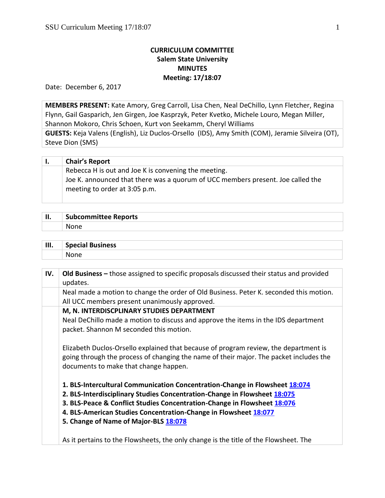# **CURRICULUM COMMITTEE Salem State University MINUTES Meeting: 17/18:07**

Date: December 6, 2017

**MEMBERS PRESENT:** Kate Amory, Greg Carroll, Lisa Chen, Neal DeChillo, Lynn Fletcher, Regina Flynn, Gail Gasparich, Jen Girgen, Joe Kasprzyk, Peter Kvetko, Michele Louro, Megan Miller, Shannon Mokoro, Chris Schoen, Kurt von Seekamm, Cheryl Williams

**GUESTS:** Keja Valens (English), Liz Duclos-Orsello (IDS), Amy Smith (COM), Jeramie Silveira (OT), Steve Dion (SMS)

| <b>Chair's Report</b>                                                           |
|---------------------------------------------------------------------------------|
| Rebecca H is out and Joe K is convening the meeting.                            |
| Joe K. announced that there was a quorum of UCC members present. Joe called the |
| meeting to order at 3:05 p.m.                                                   |
|                                                                                 |

| ш<br> | <b>Subcommittee Reports</b> |
|-------|-----------------------------|
|       | None.                       |

| III. | <b>Special Business</b> |
|------|-------------------------|
|      | . .                     |

| IV. | Old Business – those assigned to specific proposals discussed their status and provided<br>updates.                                                                                                                                                                                                                                               |
|-----|---------------------------------------------------------------------------------------------------------------------------------------------------------------------------------------------------------------------------------------------------------------------------------------------------------------------------------------------------|
|     | Neal made a motion to change the order of Old Business. Peter K. seconded this motion.<br>All UCC members present unanimously approved.                                                                                                                                                                                                           |
|     | M, N. INTERDISCPLINARY STUDIES DEPARTMENT<br>Neal DeChillo made a motion to discuss and approve the items in the IDS department<br>packet. Shannon M seconded this motion.                                                                                                                                                                        |
|     | Elizabeth Duclos-Orsello explained that because of program review, the department is<br>going through the process of changing the name of their major. The packet includes the<br>documents to make that change happen.                                                                                                                           |
|     | 1. BLS-Intercultural Communication Concentration-Change in Flowsheet 18:074<br>2. BLS-Interdisciplinary Studies Concentration-Change in Flowsheet 18:075<br>3. BLS-Peace & Conflict Studies Concentration-Change in Flowsheet 18:076<br>4. BLS-American Studies Concentration-Change in Flowsheet 18:077<br>5. Change of Name of Major-BLS 18:078 |
|     | As it pertains to the Flowsheets, the only change is the title of the Flowsheet. The                                                                                                                                                                                                                                                              |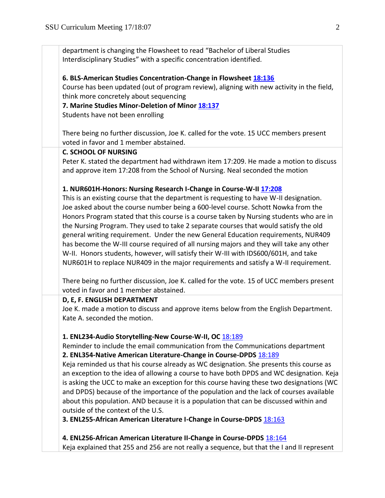department is changing the Flowsheet to read "Bachelor of Liberal Studies Interdisciplinary Studies" with a specific concentration identified.

#### **6. BLS-American Studies Concentration-Change in Flowsheet [18:136](https://polaris.salemstate.edu/governance/?trackingNum=18:136&search=all)**

Course has been updated (out of program review), aligning with new activity in the field, think more concretely about sequencing

**7. Marine Studies Minor-Deletion of Minor [18:137](https://polaris.salemstate.edu/governance/?trackingNum=18:137&search=all)**

Students have not been enrolling

There being no further discussion, Joe K. called for the vote. 15 UCC members present voted in favor and 1 member abstained.

#### **C. SCHOOL OF NURSING**

Peter K. stated the department had withdrawn item 17:209. He made a motion to discuss and approve item 17:208 from the School of Nursing. Neal seconded the motion

#### **1. NUR601H-Honors: Nursing Research I-Change in Course-W-I[I 17:208](https://polaris.salemstate.edu/governance/?trackingNum=17:208&search=all)**

This is an existing course that the department is requesting to have W-II designation. Joe asked about the course number being a 600-level course. Schott Nowka from the Honors Program stated that this course is a course taken by Nursing students who are in the Nursing Program. They used to take 2 separate courses that would satisfy the old general writing requirement. Under the new General Education requirements, NUR409 has become the W-III course required of all nursing majors and they will take any other W-II. Honors students, however, will satisfy their W-III with IDS600/601H, and take NUR601H to replace NUR409 in the major requirements and satisfy a W-II requirement.

There being no further discussion, Joe K. called for the vote. 15 of UCC members present voted in favor and 1 member abstained.

#### **D, E, F. ENGLISH DEPARTMENT**

Joe K. made a motion to discuss and approve items below from the English Department. Kate A. seconded the motion.

#### **1. ENL234-Audio Storytelling-New Course-W-II, OC** [18:189](https://polaris.salemstate.edu/governance/?trackingNum=18:189&search=all)

Reminder to include the email communication from the Communications department **2. ENL354-Native American Literature-Change in Course-DPDS** [18:189](https://polaris.salemstate.edu/governance/?trackingNum=18:189&search=all)

Keja reminded us that his course already as WC designation. She presents this course as an exception to the idea of allowing a course to have both DPDS and WC designation. Keja is asking the UCC to make an exception for this course having these two designations (WC and DPDS) because of the importance of the population and the lack of courses available about this population. AND because it is a population that can be discussed within and outside of the context of the U.S.

**3. ENL255-African American Literature I-Change in Course-DPDS** [18:163](https://polaris.salemstate.edu/governance/?trackingNum=18:163&search=all)

**4. ENL256-African American Literature II-Change in Course-DPDS** [18:164](https://polaris.salemstate.edu/governance/?trackingNum=18:164&search=all)

Keja explained that 255 and 256 are not really a sequence, but that the I and II represent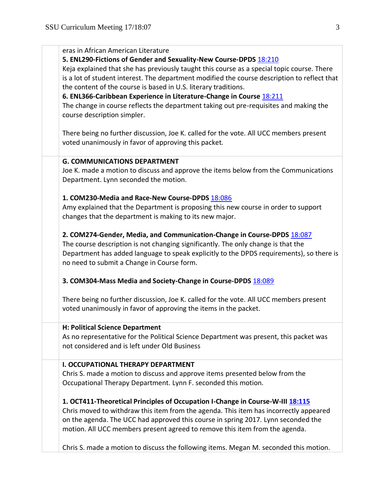| eras in African American Literature<br>5. ENL290-Fictions of Gender and Sexuality-New Course-DPDS 18:210<br>Keja explained that she has previously taught this course as a special topic course. There<br>is a lot of student interest. The department modified the course description to reflect that<br>the content of the course is based in U.S. literary traditions.<br>6. ENL366-Caribbean Experience in Literature-Change in Course 18:211<br>The change in course reflects the department taking out pre-requisites and making the<br>course description simpler.<br>There being no further discussion, Joe K. called for the vote. All UCC members present<br>voted unanimously in favor of approving this packet. |
|-----------------------------------------------------------------------------------------------------------------------------------------------------------------------------------------------------------------------------------------------------------------------------------------------------------------------------------------------------------------------------------------------------------------------------------------------------------------------------------------------------------------------------------------------------------------------------------------------------------------------------------------------------------------------------------------------------------------------------|
| <b>G. COMMUNICATIONS DEPARTMENT</b><br>Joe K. made a motion to discuss and approve the items below from the Communications<br>Department. Lynn seconded the motion.                                                                                                                                                                                                                                                                                                                                                                                                                                                                                                                                                         |
| 1. COM230-Media and Race-New Course-DPDS 18:086<br>Amy explained that the Department is proposing this new course in order to support<br>changes that the department is making to its new major.                                                                                                                                                                                                                                                                                                                                                                                                                                                                                                                            |
| 2. COM274-Gender, Media, and Communication-Change in Course-DPDS 18:087<br>The course description is not changing significantly. The only change is that the<br>Department has added language to speak explicitly to the DPDS requirements), so there is<br>no need to submit a Change in Course form.                                                                                                                                                                                                                                                                                                                                                                                                                      |
| 3. COM304-Mass Media and Society-Change in Course-DPDS 18:089                                                                                                                                                                                                                                                                                                                                                                                                                                                                                                                                                                                                                                                               |
| There being no further discussion, Joe K. called for the vote. All UCC members present<br>voted unanimously in favor of approving the items in the packet.                                                                                                                                                                                                                                                                                                                                                                                                                                                                                                                                                                  |
| H: Political Science Department<br>As no representative for the Political Science Department was present, this packet was<br>not considered and is left under Old Business                                                                                                                                                                                                                                                                                                                                                                                                                                                                                                                                                  |
| <b>I. OCCUPATIONAL THERAPY DEPARTMENT</b><br>Chris S. made a motion to discuss and approve items presented below from the<br>Occupational Therapy Department. Lynn F. seconded this motion.                                                                                                                                                                                                                                                                                                                                                                                                                                                                                                                                 |
| 1. OCT411-Theoretical Principles of Occupation I-Change in Course-W-III 18:115<br>Chris moved to withdraw this item from the agenda. This item has incorrectly appeared<br>on the agenda. The UCC had approved this course in spring 2017. Lynn seconded the<br>motion. All UCC members present agreed to remove this item from the agenda.                                                                                                                                                                                                                                                                                                                                                                                 |
| Chris S. made a motion to discuss the following items. Megan M. seconded this motion.                                                                                                                                                                                                                                                                                                                                                                                                                                                                                                                                                                                                                                       |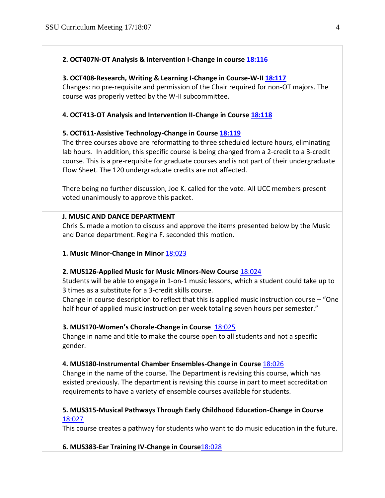## **2. OCT407N-OT Analysis & Intervention I-Change in course [18:116](https://polaris.salemstate.edu/governance/?trackingNum=18:116&search=all)**

#### **3. OCT408-Research, Writing & Learning I-Change in Course-W-II [18:117](https://polaris.salemstate.edu/governance/?trackingNum=18:117&search=all)**

Changes: no pre-requisite and permission of the Chair required for non-OT majors. The course was properly vetted by the W-II subcommittee.

# **4. OCT413-OT Analysis and Intervention II-Change in Course [18:118](https://polaris.salemstate.edu/governance/?trackingNum=18:118&search=all)**

## **5. OCT611-Assistive Technology-Change in Course [18:119](https://polaris.salemstate.edu/governance/?trackingNum=18:119&search=all)**

The three courses above are reformatting to three scheduled lecture hours, eliminating lab hours. In addition, this specific course is being changed from a 2-credit to a 3-credit course. This is a pre-requisite for graduate courses and is not part of their undergraduate Flow Sheet. The 120 undergraduate credits are not affected.

There being no further discussion, Joe K. called for the vote. All UCC members present voted unanimously to approve this packet.

## **J. MUSIC AND DANCE DEPARTMENT**

Chris S**.** made a motion to discuss and approve the items presented below by the Music and Dance department. Regina F. seconded this motion.

## **1. Music Minor-Change in Minor** [18:023](https://polaris.salemstate.edu/governance/?trackingNum=18:023&search=all)

## **2. MUS126-Applied Music for Music Minors-New Course** [18:024](https://polaris.salemstate.edu/governance/?trackingNum=18:024&search=all)

Students will be able to engage in 1-on-1 music lessons, which a student could take up to 3 times as a substitute for a 3-credit skills course.

Change in course description to reflect that this is applied music instruction course  $-$  "One half hour of applied music instruction per week totaling seven hours per semester."

## **3. MUS170-Women's Chorale-Change in Course** [18:025](https://polaris.salemstate.edu/governance/?trackingNum=18:025&search=all)

Change in name and title to make the course open to all students and not a specific gender.

## **4. MUS180-Instrumental Chamber Ensembles-Change in Course** [18:026](https://polaris.salemstate.edu/governance/?trackingNum=18:026&search=all)

Change in the name of the course. The Department is revising this course, which has existed previously. The department is revising this course in part to meet accreditation requirements to have a variety of ensemble courses available for students.

# **5. MUS315-Musical Pathways Through Early Childhood Education-Change in Course** [18:027](https://polaris.salemstate.edu/governance/?trackingNum=18:027&search=all)

This course creates a pathway for students who want to do music education in the future.

**6. MUS383-Ear Training IV-Change in Course**[18:028](https://polaris.salemstate.edu/governance/?trackingNum=18:027&search=all)